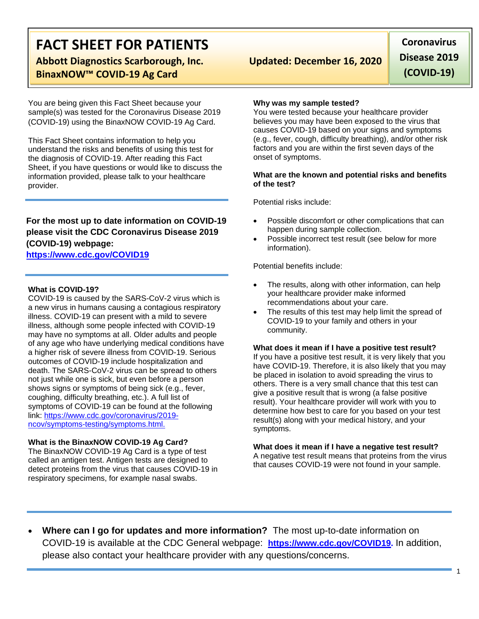# **FACT SHEET FOR PATIENTS**

**Abbott Diagnostics Scarborough, Inc. Updated: December 16, 2020 BinaxNOW™ COVID-19 Ag Card**

You are being given this Fact Sheet because your sample(s) was tested for the Coronavirus Disease 2019 (COVID-19) using the BinaxNOW COVID-19 Ag Card.

This Fact Sheet contains information to help you understand the risks and benefits of using this test for the diagnosis of COVID-19. After reading this Fact Sheet, if you have questions or would like to discuss the information provided, please talk to your healthcare provider.

# **For the most up to date information on COVID-19 please visit the CDC Coronavirus Disease 2019 (COVID-19) webpage:**

# **[https://www.cdc.gov/COVID19](https://www.cdc.gov/nCoV)**

### **What is COVID-19?**

COVID-19 is caused by the SARS-CoV-2 virus which is a new virus in humans causing a contagious respiratory illness. COVID-19 can present with a mild to severe illness, although some people infected with COVID-19 may have no symptoms at all. Older adults and people of any age who have underlying medical conditions have a higher risk of severe illness from COVID-19. Serious outcomes of COVID-19 include hospitalization and death. The SARS-CoV-2 virus can be spread to others not just while one is sick, but even before a person shows signs or symptoms of being sick (e.g., fever, coughing, difficulty breathing, etc.). A full list of symptoms of COVID-19 can be found at the following link: [https://www.cdc.gov/coronavirus/2019](https://www.cdc.gov/coronavirus/2019-ncov/symptoms-testing/symptoms.html) [ncov/symptoms-testing/symptoms.html.](https://www.cdc.gov/coronavirus/2019-ncov/symptoms-testing/symptoms.html)

### **What is the BinaxNOW COVID-19 Ag Card?**

The BinaxNOW COVID-19 Ag Card is a type of test called an antigen test. Antigen tests are designed to detect proteins from the virus that causes COVID-19 in respiratory specimens, for example nasal swabs.

**Coronavirus Disease 2019 (COVID-19)**

#### **Why was my sample tested?**

You were tested because your healthcare provider believes you may have been exposed to the virus that causes COVID-19 based on your signs and symptoms (e.g., fever, cough, difficulty breathing), and/or other risk factors and you are within the first seven days of the onset of symptoms.

#### **What are the known and potential risks and benefits of the test?**

Potential risks include:

- Possible discomfort or other complications that can happen during sample collection.
- Possible incorrect test result (see below for more information).

Potential benefits include:

- The results, along with other information, can help your healthcare provider make informed recommendations about your care.
- The results of this test may help limit the spread of COVID-19 to your family and others in your community.

#### **What does it mean if I have a positive test result?**

If you have a positive test result, it is very likely that you have COVID-19. Therefore, it is also likely that you may be placed in isolation to avoid spreading the virus to others. There is a very small chance that this test can give a positive result that is wrong (a false positive result). Your healthcare provider will work with you to determine how best to care for you based on your test result(s) along with your medical history, and your symptoms.

#### **What does it mean if I have a negative test result?**

A negative test result means that proteins from the virus that causes COVID-19 were not found in your sample.

• **Where can I go for updates and more information?** The most up-to-date information on COVID-19 is available at the CDC General webpage: **[https://www.cdc.gov/COVID19.](https://www.cdc.gov/nCoV)** In addition, please also contact your healthcare provider with any questions/concerns.